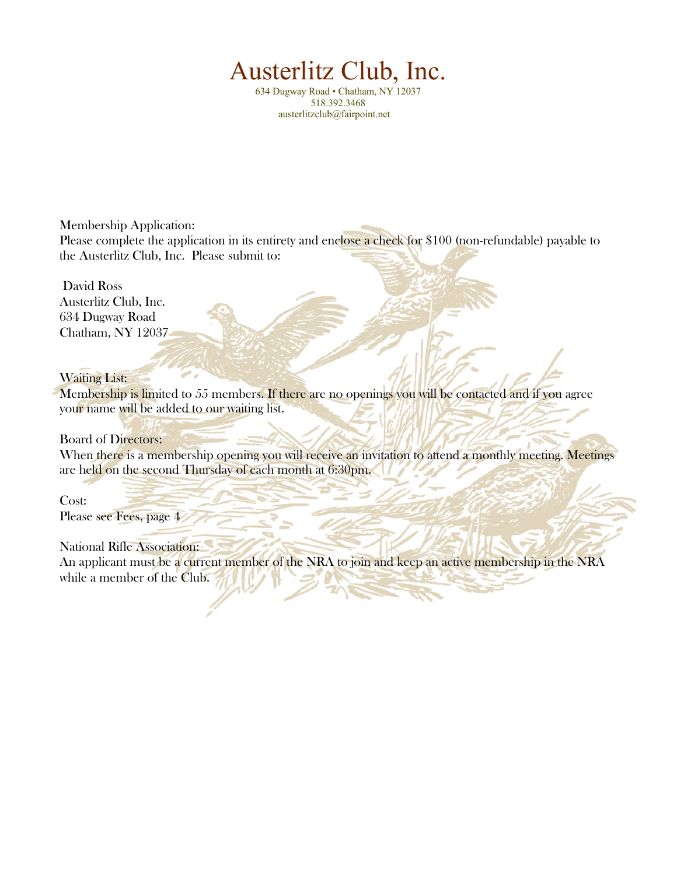# Austerlitz Club, Inc.

634 Dugway Road • Chatham, NY 12037 518.392.3468 austerlitzclub@fairpoint.net

Membership Application: Please complete the application in its entirety and enclose a check for \$100 (non-refundable) payable to the Austerlitz Club, Inc. Please submit to:

 David Ross Austerlitz Club, Inc. 634 Dugway Road Chatham, NY 12037

## Waiting List:

Membership is limited to 55 members. If there are no openings you will be contacted and if you agree your name will be added to our waiting list.

## Board of Directors:

When there is a membership opening you will receive an invitation to attend a monthly meeting. Meetings are held on the second Thursday of each month at 6:30pm.

Cost:

Please see Fees, page 4

## National Rifle Association:

An applicant must be a current member of the NRA to join and keep an active membership in the NRA while a member of the Club.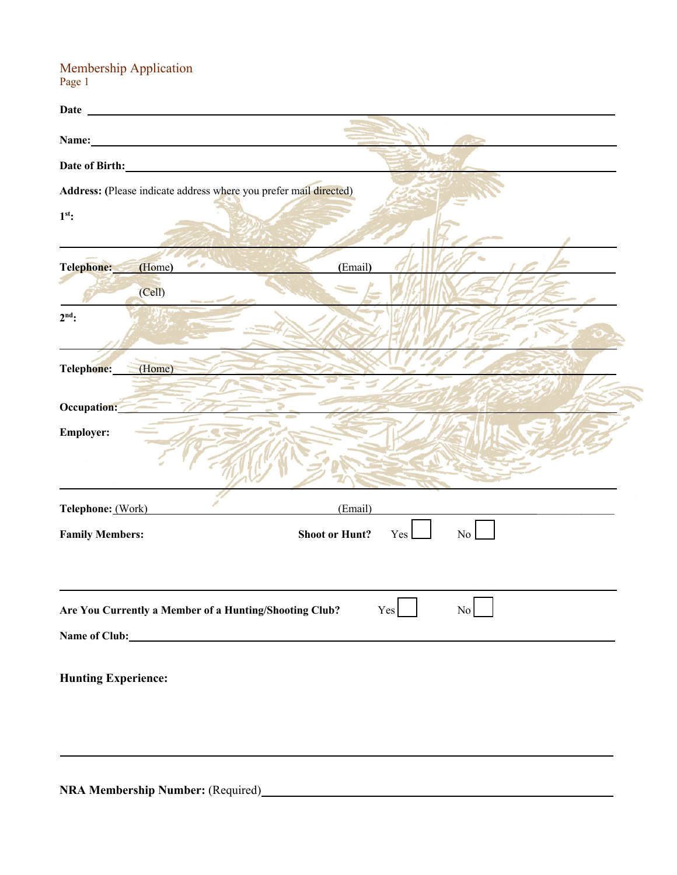Membership Application Page 1

|                            | Date <b>Date Example 20</b>                                               |
|----------------------------|---------------------------------------------------------------------------|
|                            |                                                                           |
|                            | Date of Birth: No. 1996                                                   |
|                            | Address: (Please indicate address where you prefer mail directed)         |
| $1st$ :                    |                                                                           |
| Telephone:                 | (Email)<br>(Home)                                                         |
|                            | (Cell)                                                                    |
| $2nd$ :                    |                                                                           |
| Telephone:                 | (Home)                                                                    |
| Occupation:                |                                                                           |
| <b>Employer:</b>           |                                                                           |
| Telephone: (Work)          | (Email)                                                                   |
| <b>Family Members:</b>     | <b>Shoot or Hunt?</b><br>Yes<br>No                                        |
|                            | Are You Currently a Member of a Hunting/Shooting Club?<br>Yes<br>$\rm No$ |
| <b>Hunting Experience:</b> |                                                                           |

**NRA Membership Number:** (Required) **\_\_\_\_\_\_**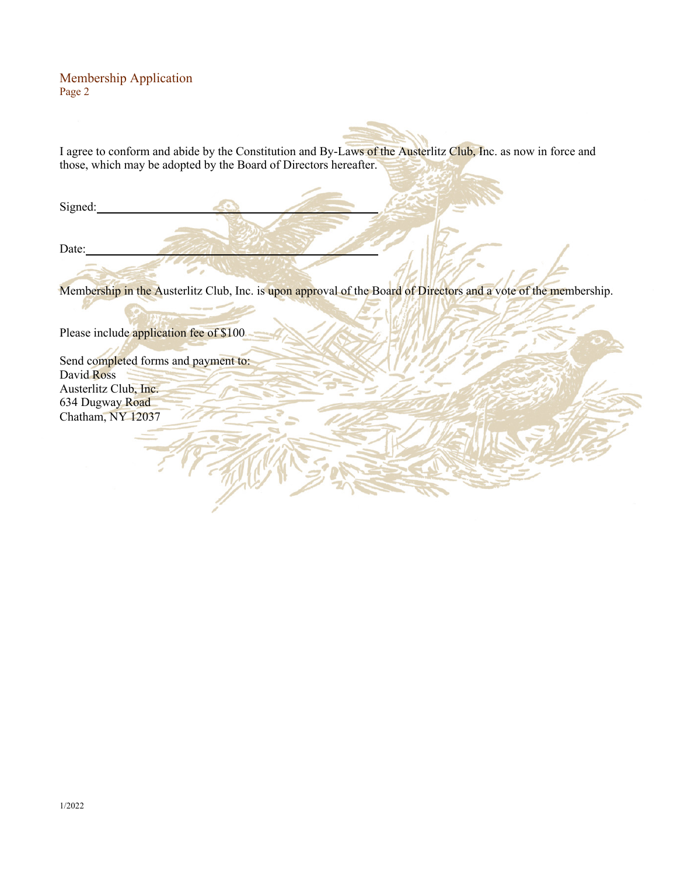### Membership Application Page 2

I agree to conform and abide by the Constitution and By-Laws of the Austerlitz Club, Inc. as now in force and those, which may be adopted by the Board of Directors hereafter.

Signed:

Date:

Membership in the Austerlitz Club, Inc. is upon approval of the Board of Directors and a vote of the membership.

Please include application fee of \$100

Send completed forms and payment to: David Ross Austerlitz Club, Inc. 634 Dugway Road Chatham, NY 12037